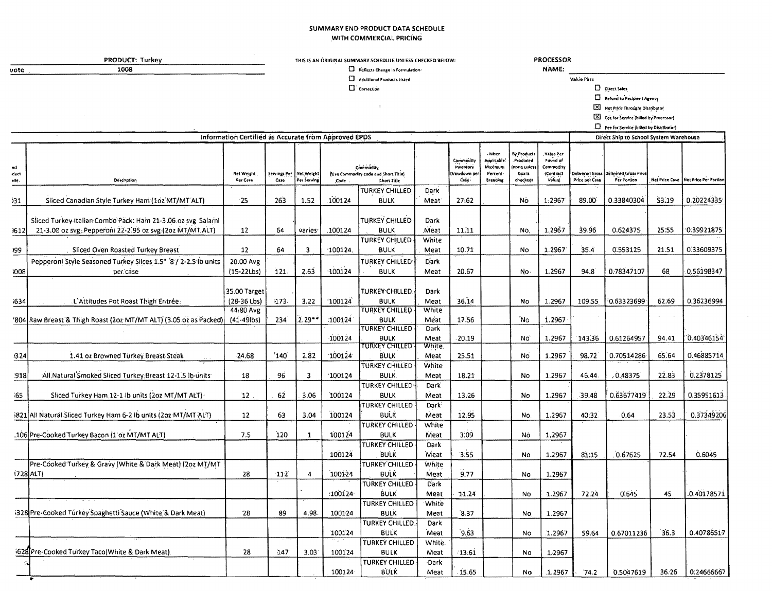#### SUMMARY END PRODUCT DATA SCHEDULE WITH COMMERCIAL PRICING

PRODUCT: Turkey  $1008$ 

 $\overline{vote}$ 

### THIS IS AN ORIGINAL SUMMARY SCHEDULE UNLESS CHECKED BELOW:

 $\mathbf{r}$ 

 $\Box$  Correction

2 Reflects Change In Formulation:

 $\square$  -Additional Products Listed

**PROCESSOR** NAME:

Value Pass

 $\Box$  Direct Sales

**Executed** to Recipient Agency

Net Price Throught Distributor

El Fee for Service (billed by Processor)

 $\Box$  Fee for Service (billed by Distributor)

| Information Certified as Accurate from Approved EPDS |                                                                   |                               |        |                                          |           |                                                                        |                      |                                               |                                                       | Direct Ship to School System Warehouse                      |                                                          |                |                                                      |        |                                      |
|------------------------------------------------------|-------------------------------------------------------------------|-------------------------------|--------|------------------------------------------|-----------|------------------------------------------------------------------------|----------------------|-----------------------------------------------|-------------------------------------------------------|-------------------------------------------------------------|----------------------------------------------------------|----------------|------------------------------------------------------|--------|--------------------------------------|
| nd<br>duct<br>xle.                                   | Description                                                       | <b>Net Weight</b><br>Per Case | Case   | Servings Per   Net Weight<br>Per Serving | Code      | Commodin<br>(Use Commodity code and Short Title)<br><b>Chort Title</b> |                      | Commodity<br>inventory<br>rawdown oe<br>Case- | -When<br>Auplicable<br>Maximun<br>Percent<br>Breading | By Products<br>Produced<br>none unles<br>box is<br>checked) | Value Per<br>Pound of<br>Commodit<br>(Contract<br>Value) | Price per Case | Delivered Grass Delivered Grass Price<br>Per Portion |        | Net Price Case Net Price Per Portlon |
|                                                      |                                                                   |                               |        |                                          |           | <b>TURKEY CHILLED</b>                                                  | Dark                 |                                               |                                                       |                                                             |                                                          |                |                                                      |        |                                      |
| 131                                                  | Sliced Canadian Style Turkey Ham (102 MT/MT ALT)                  | $-25$                         | 263    | 1.52                                     | 100124    | <b>BULK</b>                                                            | Meat <sup>®</sup>    | 27:62                                         |                                                       | 'No                                                         | 1:2967                                                   | 89.00          | 0.33840304                                           | \$3.19 | 0.20224335                           |
|                                                      | Sliced Turkey Italian Combo Pack: Ham 21-3.06 oz svg. Salami      |                               |        |                                          |           | <b>TURKEY CHILLED</b>                                                  | Dark                 |                                               |                                                       |                                                             |                                                          |                |                                                      |        |                                      |
| 1612                                                 | 21-3.00 oz svg, Pepperoni 22-2.95 oz svg (2oz MT/MT.ALT)          | 12                            | 64     | varies                                   | .100124   | BULK<br><b>TURKEY CHILLED</b>                                          | <b>Meat</b><br>White | 11.11                                         |                                                       | No.                                                         | 1.2967                                                   | 39.96          | 0.624375                                             | 25:55  | $-0.39921875$                        |
| 199                                                  | Sliced Oven Roasted Turkey Breast                                 | 12                            | 64     | 3                                        | 100124    | <b>BULK</b>                                                            | Meat                 | 10.71                                         |                                                       | No                                                          | 1.2967                                                   | 35.4           | 0.553125                                             | 21.51  | 0.33609375                           |
|                                                      | Pepperoni Style Seasoned Turkey Slices 1.5" 8 / 2-2.5 ib units    | 20.00 Avg                     |        |                                          |           | <b>TURKEY CHILLED</b>                                                  | <b>Dark</b>          |                                               |                                                       |                                                             |                                                          |                |                                                      |        |                                      |
| 1008                                                 | per case                                                          | $(15-22Lbs)$                  | 121.   | 2.63                                     | $-100124$ | BULK                                                                   | Meat                 | 20.67                                         |                                                       | No                                                          | 1.2967                                                   | 94.8           | 0.78347107                                           | 68     | 0.56198347                           |
|                                                      |                                                                   | 35.00 Target                  |        |                                          |           | <b>TURKEY CHILLED</b>                                                  | Dark                 |                                               |                                                       |                                                             |                                                          |                |                                                      |        |                                      |
| :634                                                 | L'Attitudes Pot Roast Thigh Entrée:                               | $(28-36$ Lbs)<br>44:80 Avg    | $-173$ | 3.22                                     | 100124    | <b>BULK</b><br><b>TURKEY CHILLED</b>                                   | Meat<br>White        | 36.14                                         |                                                       | No                                                          | 1.2967                                                   | 109.55         | 0.63323699                                           | 62.69  | 0.36236994                           |
|                                                      | '804 Raw Breast & Thigh Roast (2oz MT/MT ALT) (3.05 oz as Packed) | $(41 - 49)$                   | 234    | $2.29**$                                 | :100124   | <b>BULK</b><br><b>TURKEY CHILLED</b>                                   | Meat                 | 17.56                                         |                                                       | 'Nο                                                         | 1.2967                                                   |                |                                                      |        |                                      |
|                                                      |                                                                   |                               |        |                                          | 100124    | <b>BULK</b>                                                            | Dark<br>Meat         | $-20.19$                                      |                                                       | No <sup>'</sup>                                             | 1.2967                                                   | 143.36         | 0.61264957                                           | 94.41  | 0.40346154                           |
| 1324                                                 | 1.41 oz Browned Turkey Breast Steak                               | 24.68                         | 140    | 2.82                                     | 100124    | TURKEY CHILLED<br><b>BULK</b>                                          | <b>White</b><br>Meat | 25.51                                         |                                                       | No.                                                         | 1.2967                                                   | 98.72          | 0.70514286                                           | 65.64  | 0.46885714                           |
| .918                                                 | All Natural Smoked Sliced Turkey Breast 12-1.5 lb units           | 18                            | 96     | 3                                        | 100124    | TURKEY CHILLED<br><b>BULK</b>                                          | White<br>Meat        | 18.21                                         |                                                       | No                                                          | 1.2967                                                   | 46.44          | .0.48375                                             | 22.83  | 0.2378125                            |
|                                                      |                                                                   |                               |        |                                          |           | TURKEY CHILLED                                                         | Dark                 |                                               |                                                       |                                                             |                                                          |                |                                                      |        |                                      |
| 55                                                   | Sliced Turkey Ham 12-1 lb units (2oz MT/MT ALT)                   | 12                            | 62     | 3.06                                     | 100124    | <b>BULK</b>                                                            | Meat                 | 13.26                                         |                                                       | No                                                          | 1.2967                                                   | 39.48          | 0.63677419                                           | 22.29  | 0.35951613                           |
|                                                      |                                                                   |                               |        |                                          |           | TURKEY CHILLED                                                         | <b>Dark</b>          |                                               |                                                       |                                                             |                                                          |                |                                                      |        |                                      |
|                                                      | 5821 All Natural Sliced Turkey Ham 6-2 lb units (2oz MT/MT ALT)   | 12                            | 63     | 3.04                                     | 100124    | BULK                                                                   | Meat                 | 12.95                                         |                                                       | No.                                                         | 1.2967                                                   | 40:32          | 0.64                                                 | 23.53  | 0.37349200                           |
|                                                      | .106 Pre-Cooked Turkey Bacon (1 oz MT/MT ALT)                     | 7.5                           | 120    | $\mathbf{1}$                             | 100124    | TURKEY CHILLED<br><b>BULK</b>                                          | White<br>Meat        | 3:09                                          |                                                       | No                                                          | 1.2967                                                   |                |                                                      |        |                                      |
|                                                      |                                                                   |                               |        |                                          |           | <b>TURKEY CHILLED</b>                                                  | Dark                 |                                               |                                                       |                                                             |                                                          |                |                                                      |        |                                      |
|                                                      |                                                                   |                               |        |                                          | 100124    | <b>BULK</b>                                                            | Meat                 | 3.55                                          |                                                       | Nó                                                          | 1.2967                                                   | 81.15          | 0.67625                                              | 72.54  | 0.6045                               |
|                                                      | Pre-Cooked Turkey & Gravy (White & Dark Meat) (2oz MT/MT          |                               |        |                                          |           | <b>TURKEY CHILLED</b>                                                  | White                |                                               |                                                       |                                                             |                                                          |                |                                                      |        |                                      |
|                                                      | 1728 ALT)                                                         | 28                            | 112    | 4                                        | 100124    | <b>BULK</b>                                                            | Meat                 | 9.77                                          |                                                       | No                                                          | 1.2967                                                   |                |                                                      |        |                                      |
|                                                      |                                                                   |                               |        |                                          | :100124   | <b>TURKEY CHILLED</b><br><b>BULK</b>                                   | Dark                 |                                               |                                                       |                                                             |                                                          | 72.24          | 0.645                                                | 45     | 0.40178571                           |
|                                                      |                                                                   |                               |        |                                          |           | TURKEY CHILLED                                                         | Meat<br>White        | 11.24                                         |                                                       | No                                                          | 1.2967                                                   |                |                                                      |        |                                      |
|                                                      | 1328 Pre-Cooked Túrkey Spaghetti Sauce (White & Dark Meat)        | 28                            | 89     | 4.98                                     | 100124    | <b>BULK</b>                                                            | Meat                 | 8.37                                          |                                                       | No.                                                         | 1.2967                                                   |                |                                                      |        |                                      |
|                                                      |                                                                   |                               |        |                                          |           | TURKEY CHILLED                                                         | Dark                 |                                               |                                                       |                                                             |                                                          |                |                                                      |        |                                      |
|                                                      |                                                                   |                               |        |                                          | 100124    | <b>BULK</b>                                                            | Meat                 | 9.63                                          |                                                       | No.                                                         | 1.2967                                                   | 59.64          | 0.67011236                                           | 36.3   | 0.40786517                           |
|                                                      |                                                                   |                               |        |                                          |           | TURKEY CHILLED                                                         | White.               |                                               |                                                       |                                                             |                                                          |                |                                                      |        |                                      |
|                                                      | 628 Pre-Cooked Turkey Taco (White & Dark Meat)                    | 28                            | 147    | 3.03                                     | 100124    | <b>BULK</b><br>TURKEY CHILLED                                          | Meat<br>-Dàrk        | $-13.61$                                      |                                                       | No                                                          | 1.2967                                                   |                |                                                      |        |                                      |
|                                                      |                                                                   |                               |        |                                          | 100124    | BULK                                                                   | Meat                 | 15.65                                         |                                                       | No                                                          | 1.2967                                                   | 74.2           | 0.5047619                                            | 36.26  | 0.24666667                           |
|                                                      |                                                                   |                               |        |                                          |           |                                                                        |                      |                                               |                                                       |                                                             |                                                          |                |                                                      |        |                                      |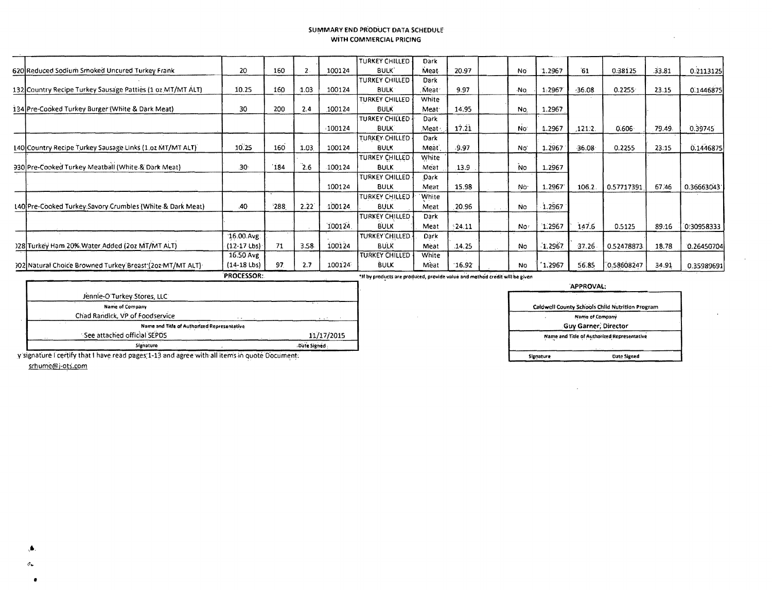#### SUMMARY END PRODUCT DATA SCHEDULE WITH COMMERCIAL PRICING

|                                                            | <b>PROCESSOR:</b> |     |       |        | *If by products are produced, provide value and method credit will be given |                   |          |                 |        |          |            |        |            |
|------------------------------------------------------------|-------------------|-----|-------|--------|-----------------------------------------------------------------------------|-------------------|----------|-----------------|--------|----------|------------|--------|------------|
| 302 Natural Choice Browned Turkey Breast (202 MT/MT ALT)   | $(14-18$ Lbs)     | 97. | 2.7   | 100124 | <b>BULK</b>                                                                 | Meat              | 16.92    | <b>No</b>       | 1.2967 | 56.85    | 0.58608247 | 34.91  | 0.35989691 |
|                                                            | 16.50 Avg         |     |       |        | <b>TURKEY CHILLED</b>                                                       | White             |          |                 |        |          |            |        |            |
| 128 Türkey Ham 20% Water Added (2oz MT/MT ALT)             | $(12-17$ Lbs)     | 71  | 3.58. | 100124 | <b>BULK</b>                                                                 | Meat              | .14.25   | No              | 1.2967 | 37.26    | 0.52478873 | 18.78  | 0.26450704 |
|                                                            | $16.00$ Avg.      |     |       |        | TURKEY CHILLED.                                                             | Dark              |          |                 |        |          |            |        |            |
|                                                            |                   |     |       | 100124 | <b>BULK</b>                                                                 | Meat              | $-24.11$ | No.             | 1.2967 | 147.6    | 0.5125     | 89.16  | 0:30958333 |
|                                                            |                   |     |       |        | TURKEY CHILLED                                                              | Dark              |          |                 |        |          |            |        |            |
| 140 Pre-Cooked Turkey Savory Crumbles (White & Dark Meat)  | .40               | 288 | 2.22  | 100124 | <b>BULK</b>                                                                 | Meat              | 20.96    | No              | 1.2967 |          |            |        |            |
|                                                            |                   |     |       |        | TURKEY CHILLED                                                              | White             |          |                 |        |          |            |        |            |
|                                                            |                   |     |       | 100124 | <b>BULK</b>                                                                 | Meat              | 15.98    | No <sup>.</sup> | 1.2967 | 106.2.   | 0.57717391 | 67.46  | 0.36663043 |
|                                                            |                   |     |       |        | TURKEY CHILLED                                                              | Dark              |          |                 |        |          |            |        |            |
| 930 Pre-Cooked Turkey Meatball (White & Dark Meat)         | 30 <sub>1</sub>   | 184 | 2.6   | 100124 | <b>BULK</b>                                                                 | Meat              | .13.9    | No.             | 1.2967 |          |            |        |            |
|                                                            |                   |     |       |        | TURKEY CHILLED                                                              | White             |          |                 |        |          |            |        |            |
| 140 Country Recipe Turkey Sausage Links (1.oz MT/MT ALT)   | 10.25             | 160 | 1.03  | 100124 | <b>BULK</b>                                                                 | Meat)             | .9.97    | No <sup>-</sup> | 1.2967 | $-36.08$ | 0.2255     | 23.15  | 0.1446875  |
|                                                            |                   |     |       |        | TURKEY-CHILLED-                                                             | Dark              |          |                 |        |          |            |        |            |
|                                                            |                   |     |       | 100124 | <b>BULK</b>                                                                 | Meat              | 17.21    | No              | 1.2967 | .121.2.  | 0.606      | 79.49. | 0.39745    |
| 134 Pre-Cooked Turkey Burger (White & Dark Meat)           | 30                | 200 | 2,4   | 100124 | <b>BULK</b><br>TURKEY CHILLED                                               | Meat<br>Dark      | 14.95    | No.             | 1.2967 |          |            |        |            |
|                                                            |                   |     |       |        | TURKEY CHILLED                                                              | White             |          |                 |        |          |            |        |            |
| 132 Country Recipe Turkey Sausage Patties (1 oz MT/MT ALT) | 10.25             | 160 | 1.03  | 100124 | <b>BULK</b>                                                                 | Meat <sup>-</sup> | 9.97     | -No             | 1.2967 | $-36.08$ | 0.2255     | 23.15  | 0.1446875  |
|                                                            |                   |     |       |        | TURKEY CHILLED                                                              | Dark              |          |                 |        |          |            |        |            |
| 620 Reduced Sodium Smoked Uncured Turkey Frank             | 20                | 160 |       | 100124 | <b>BULK</b>                                                                 | Meat              | 20.97    | No              | 1.2967 | 61       | 0.38125    | 33.81  | 0.2113125  |
|                                                            |                   |     |       |        | TURKEY CHILLED                                                              | Dark              |          |                 |        |          |            |        |            |

\*If by products are produced, provide value and method credit will be given

APPROVAL:

| Name of Company                             |
|---------------------------------------------|
| Guy Garner, Director                        |
| Name and Title of Authorized Representative |

 $\sim$ 

Jennie-O'Turkey Stores, LLC Name of Company Chad Randick, VP of Foodservice Name and Title of Authorized Representative See attached official SEPDS  $11/17/2015$ Signature Date Signed

y signature I certify that I have read pages 1-13 and agree with all items in quote Document.

srhume@j-ots.com

٠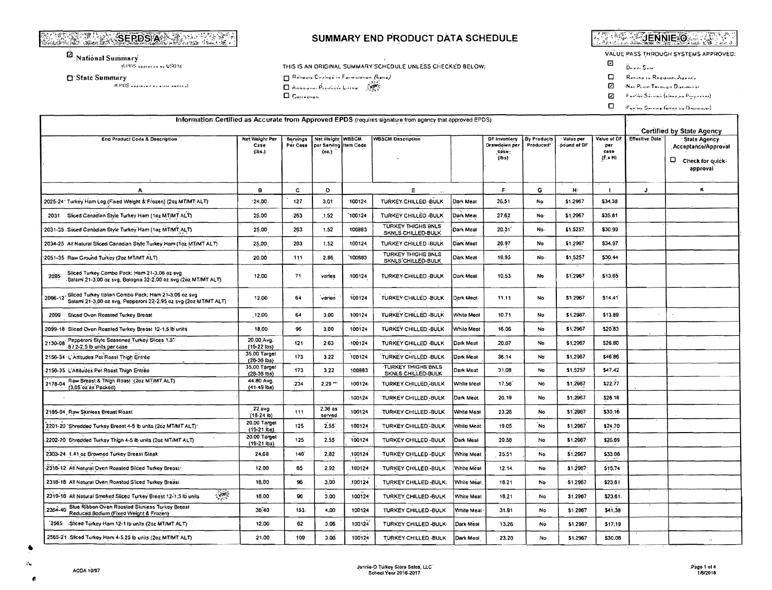# **SALE AND SERDS AND ARRIVED AT A PARTICIPAL PROPERTY.**

 $\dot{\mathcal{Q}}_{: \mathbf{National Summary}}$ 

**JEPDS APPLANATION USDAL** 

□ State Summary

TEPDS ANNIHOUS BE ENTERED ANYWED.

## SUMMARY END PRODUCT DATA SCHEDULE

THIS IS AN ORIGINAL SUMMARY SCHEDULE UNLESS CHECKED BELOW:

**TE** Rebeath Change in Formulation (houd) Anhandras Provincia Louisia SAS

 $\square$  Correction

**AND AND EXIT CO.** 

VALUE PASS THROUGH SYSTEMS APPROVED:

- $\mathbf{C}$  $\widetilde{\mathbf{D}}_{\text{H}}$  and  $\mathbf{S}_{\text{H}}$  and
- $\Box$ Return to Resident Agents
- Ø Nei Pierre Tecouge Disconsiste
- $\overline{\mathbf{z}}$ Fantin Sainin (binnews Proposition)

 $\Box = \langle \phi_{\text{wyl}} | \omega_{\text{cyl}} | \phi_{\text{cyl}} | \phi_{\text{cyl}} | \phi_{\text{cyl}} | \phi_{\text{cyl}} \rangle$ 

| Information: Certified as Accurate from Approved EPDS (requires signature from agency that approved EPDS)                          |                                  |                                  |                                                           |           |                                                 |            |                                                             |                                 |                          |                                              |                       |                                                                            |
|------------------------------------------------------------------------------------------------------------------------------------|----------------------------------|----------------------------------|-----------------------------------------------------------|-----------|-------------------------------------------------|------------|-------------------------------------------------------------|---------------------------------|--------------------------|----------------------------------------------|-----------------------|----------------------------------------------------------------------------|
|                                                                                                                                    |                                  | <b>Certified by State Agency</b> |                                                           |           |                                                 |            |                                                             |                                 |                          |                                              |                       |                                                                            |
| End Product Code & Description                                                                                                     | Net Weight Per<br>Case<br>(155.) | Servings<br>Per Case             | <b>Net Weight WBSCM</b><br>per Serving Item Code<br>(02.) |           | <b>WBSCM Description</b>                        |            | DF Invantory<br>Drawdown per<br>case:<br>(1 <sub>b</sub> s) | <b>By Products</b><br>Produced* | Value per<br>pound of DF | Value of OF<br>per<br>case<br>$(F \times H)$ | <b>Effective Date</b> | <b>State Agency</b><br>Acceptance/Approval<br>Check for quick?<br>approval |
| А                                                                                                                                  | 9                                | c                                | D                                                         |           | E.                                              |            | Æ                                                           | G                               | H÷.                      |                                              | J                     | ĸ                                                                          |
| 2025-24 Turkey Ham Log (Fixed Weight & Frozen) (2oz MTMT ALT)                                                                      | 24,00                            | 127                              | 3,01                                                      | 100124    | TURKEY CHILLED -BULK                            | Dark Meat  | 26,51                                                       | No                              | \$1,2957                 | \$34.38                                      |                       |                                                                            |
| 2031 Sliced Canadian Style Turkey Ham (1az MT/MT ALT)                                                                              | 25.00                            | -263                             | 1.52                                                      | 100124    | TURKEY CHILLED -BULK                            | Dark Meat  | 27,62                                                       | No                              | \$1.2967                 | -535.81                                      |                       |                                                                            |
| 2031-35 Sliced Canadian Style Turkey Ham (1oz MT/MT ALT)                                                                           | 25.00                            | 263                              | 1.52                                                      | 100883    | TURKEY THIGHS BNLS<br><b>SKNLS CHILLED-BULK</b> | Dark Meal  | 20.31'                                                      | No.                             | \$1.5257.                | \$30.99                                      |                       |                                                                            |
| 2034-25 All Natural Sliced Canadian Style Turkey Ham (1oz MT/MT ALT)                                                               | 25,00                            | 263                              | 1.52                                                      | 100124    | TURKEY CHILLED - BULK                           | Dark Meat  | 26.97                                                       | No                              | \$1,2967                 | \$34.97                                      |                       |                                                                            |
| '2051-35- Raw Ground Turkey (2oz MT/MT ALT)                                                                                        | 20.00                            | 111                              | 2.66                                                      | 100883    | TURKEY THIGHS BNLS<br>SKNLS CHILLED-BULK        | Dark Meat  | 19,95                                                       | No.                             | \$1,5257                 | \$30.44                                      |                       |                                                                            |
| Sliced Turkey Combo Pack: Ham 21-3.06 oz svg<br>2095<br>Salami 21-3,00 oz svg, Bologna 32-2,00 oz svg (2oz MT/MT ALT)              | 12.00                            | 71                               | varies                                                    | 100124    | TURKEY CHILLED-BULK                             | Dark Meat  | 10.53.                                                      | No                              | \$1,2967                 | \$13.65                                      |                       |                                                                            |
| Sliced Turkey Italian Combo Pack, Ham 21-3.06 oz svg<br>2096-12<br>Salami 21-3.00 oz svg, Pepperoni 22-2.95 oz svg (2oz MT/MT ALT) | 12.00                            | 64                               | vanes                                                     | 100124    | TURKEY CHILLED-BULK                             | Dark Meot  | 11,11                                                       | No                              | \$1.2967                 | \$14.41                                      |                       |                                                                            |
| Sliced Oven Roasted Turkey Breast<br>2099                                                                                          | 12,00                            | 64                               | 3.00                                                      | 100124    | TURKEY CHILLED-BULK                             | White Meat | 10:71                                                       | No                              | \$1,2987.                | \$13.89                                      |                       |                                                                            |
| 2099-18 Sliced Oven Roasted Turkey Breast 12-1.5 lb units                                                                          | 18,00                            | 96                               | 3.00                                                      | 100124    | TURKEY CHILLED - BULK                           | While Ment | 16.06                                                       | No                              | \$1,2967                 | \$20.83                                      |                       |                                                                            |
| Pepperoni Style Seasoned Turkey Slices 1.5"<br>2130-08<br>8/2-2.5 lb units per case                                                | 20.00 Avg.<br>(15-22 lbs)        | 121                              | 2.63                                                      | $-100124$ | TURKEY CHILLED -BULK                            | Dark Meat  | 20.67                                                       | No                              | \$1,2967                 | \$26.80                                      |                       |                                                                            |
| 2156-34 L'Attitudes Pot Roast Thigh Entrée                                                                                         | 35.00 Target<br>(28-36 lbs)      | 173                              | 3.22                                                      | 100124    | TURKEY CHILLED - BULK                           | Dark Meat  | 36.14                                                       | No <sup>-</sup>                 | \$1,2967                 | \$46,86                                      |                       |                                                                            |
| 2156-35 L'Attitudes Pot Roast Thigh Entreo                                                                                         | 35,00 Target<br>$(28-36$ lbs)    | 173                              | 3,22                                                      | 100883    | TURKEY THIGHS BNLS<br>SKNLS CHILLED-BULK        | Derk Meat  | 31.08                                                       | No                              | \$1,5257                 | \$47,42                                      |                       |                                                                            |
| Raw Breast & Thigh Roast (2oz MT/MT ALT)<br>2178-04<br>$(3.05 \text{ oz as } \text{Packad})$                                       | 44.80 Avg.<br>$(41-49$ lbs)      | 234                              | $2.29$ **                                                 | 100124    | TURKEY CHILLED, BULK                            | While Meat | 17,56                                                       | No                              | \$1,2967                 | \$22.77                                      |                       |                                                                            |
|                                                                                                                                    |                                  |                                  |                                                           | 100124    | TURKEY CHILLED - BULK.                          | Dark Meat. | 20.19                                                       | No                              | \$1,2967                 | \$26.18                                      |                       |                                                                            |
| 2185-04, Raw Skinless Breast Roast                                                                                                 | 22 avo<br>(18.24 h)              | $-111$                           | 2.36 as<br>served                                         | 100124    | TURKEY-CHILLED-BULK                             | White Meat | 23.26                                                       | <b>No</b>                       | \$1,2967                 | \$30,16                                      |                       |                                                                            |
| 2201-20 'Shredded Turkey Breast 4-5 lb units (2oz MT/MT ALT)'                                                                      | 20.00 Target<br>$(19-21.$ lbs)   | 125                              | 2,55'                                                     | 100124    | TURKEY CHILLED-BULK.                            | White Meat | 19.05                                                       | <b>No</b>                       | \$1,2967                 | \$24.70                                      |                       |                                                                            |
| 2202-20 Shredded Turkey Thigh 4-5 ib units (2oz MT/MT ALT)                                                                         | 20.00 Target<br>$(19-21$ lbs)    | $-125$                           | 2.55                                                      | 100124    | TURKEY CHILLED-BULK                             | Dark Meat  | 20.58                                                       | No                              | \$1.2967                 | \$26.69                                      |                       |                                                                            |
| 2303-24 -1.41 oz Browned Turkey Breast Steak                                                                                       | 24,68                            | 140                              | 2.82                                                      | 100124    | TURKEY CHILLED - BULK                           | White Meat | 25.51                                                       | No                              | \$1,2967                 | \$33.08                                      |                       |                                                                            |
| 2318-12. All Natural Oven Roasted Sliced Turkey Breast                                                                             | 12.00                            | 65                               | 2.92                                                      | 100124    | TURKEY CHILLED-BULK.                            | White Mesi | 12.14.                                                      | No                              | \$1,2967                 | \$15.74                                      |                       |                                                                            |
| 2318-18: All Natural Oven Roastad Sliced Turkey Breast                                                                             | 18.00                            | 96                               | 3.00                                                      | 100124    | TURKEY CHILLED-BULK:                            | White Meat | 18.21                                                       | 'No                             | \$1,2967                 | \$23.61                                      |                       |                                                                            |
| $\sim 100$<br>2319-18 All Natural Smoked Sliced Turkey Breast 12-1:5 lb units                                                      | 18.00                            | 96                               | 3.00                                                      | 100124    | TURKEY CHILLED-BULK                             | White Meat | 18.21                                                       | No                              | \$1,2967                 | \$23.61                                      |                       |                                                                            |
| Blue Ribbon Oven Roasted Skinless Turkey Breast<br>2364-40<br>Reduced Sodium (Fixed Weight & Frozen)                               | 38.40                            | 153.                             | 4,00                                                      | 100124    | TURKEY CHILLED-BULK                             | White Meat | 31.91                                                       | No.                             | \$1,2967                 | \$41.38                                      |                       |                                                                            |
| 2565 Sliced Turkey Ham 12-1 lb units (2oz MT/MT ALT)                                                                               | 12.00                            | 62                               | 3.06                                                      | 100124    | TURKEY CHILLED -BULK-                           | Dark Meat  | 13.26                                                       | No                              | \$1.2967                 | \$17.19                                      |                       |                                                                            |
| 2565-21 Sliced Turkey Ham 4-5:25 lb units (2oz MT/MT ALT)                                                                          | 21:00                            | 109                              | 3.06                                                      | 100124    | TURKEY-CHILLED -BULK                            | Dark Mont  | 23.20                                                       | Ńο.                             | \$1,2957                 | \$30.08                                      |                       |                                                                            |

- 6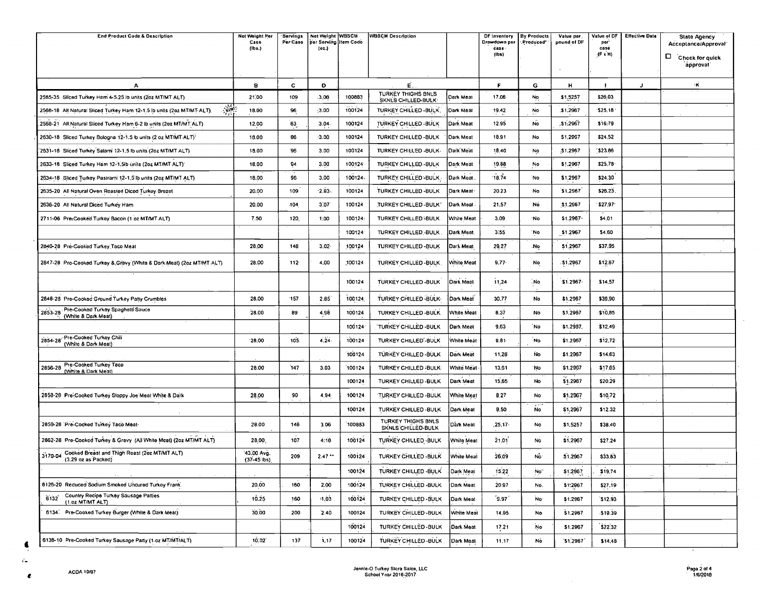| End Product Code & Description                                                          | Not Weight Per<br>Case       | Servings<br>Per Caso | Net Weight WBSCM<br>per Serving Item Code |        | <b>WBSCM Description</b>                        |                   | DF Inventory<br>Drawdown per | <b>By Products</b><br>Produced <sup>®</sup> | Value per<br>pound of DF | Vatue of DF<br>por <sup>.</sup> | <b>Effective Date</b> | <b>State Agency</b><br>Acceptance/Approval |
|-----------------------------------------------------------------------------------------|------------------------------|----------------------|-------------------------------------------|--------|-------------------------------------------------|-------------------|------------------------------|---------------------------------------------|--------------------------|---------------------------------|-----------------------|--------------------------------------------|
|                                                                                         | (1b.5)                       |                      | (oz.)                                     |        |                                                 |                   | case -<br>(Ibs)              |                                             |                          | case<br>$(F \times H)$          |                       | Chock for quick                            |
|                                                                                         |                              |                      |                                           |        |                                                 |                   |                              |                                             |                          |                                 |                       | approval                                   |
| А.                                                                                      | 8                            | c                    | D                                         |        | É.                                              |                   | F                            | G                                           | н                        |                                 | J                     | ۰κ                                         |
| 2565-35 Sliced Turkey Ham 4-5.25 lb units (2oz MT/MT ALT)                               | 21,00                        | 109                  | .3.06                                     | 100883 | <b>TURKEY THIGHS BNLS</b><br>SKNLS CHILLED-BULK | Dark Meat         | 17.06                        | No                                          | \$1,5257                 | \$26.03                         |                       |                                            |
| $\mathcal{L}$<br>2568-18 All Natural Sliced Turkey Ham 12-1.5 lb units (2oz MT/MT ALT). | 18.00                        | 96                   | 3.00                                      | 100124 | TURKEY CHILLED - BULK.                          | Dark Meat         | 19.42                        | No                                          | \$1,2987                 | 325.18                          |                       |                                            |
| 2568-21 All Natural Sliced Turkey Ham 6-2 lb units (2oz MT/MT ALT)                      | 12.00                        | 63                   | 3.04                                      | 100124 | TURKEY CHILLED - BULK                           | Dark Meat         | 12.95                        | <b>No</b>                                   | \$1.2967                 | \$16.79                         |                       |                                            |
| 2630-18 Sliced Turkey Bologna 12-1.5 lb units (2 oz MT/MT ALT):                         | 18.00                        | 96                   | $-3.00$                                   | 100124 | TURKEY CHILLED - BULK                           | Dark Meat         | 18.91                        | No                                          | \$1,2967                 | \$24.52                         |                       |                                            |
| 2631-18 Sliced Turkey Salami 12-1.5 lb units (2oz MT/MT ALT)                            | 18.00                        | 96                   | 3.00                                      | 100124 | TURKEY CHILLED -BULK-                           | Dark Meat         | 18.40                        | No                                          | \$1.2967                 | \$23.86                         |                       |                                            |
| 2633-18 Sliced Turkey Ham 12-1.5lb units (2oz MT/MT ALT)                                | 18.00                        | 94                   | 3.00                                      | 100124 | TURKEY CHILLED - BULK                           | Dark Meat         | 19.88                        | No                                          | \$1,2967                 | \$25,78                         |                       |                                            |
| 2634-18 Sliced Turkey Pastrami 12-1.5 lb units (2oz MT/MT ALT)                          | 18,00                        | 96                   | 3.00                                      | 100124 | TURKEY CHILLED-BULK.                            | Dark Moat         | 18.74                        | <b>No</b>                                   | \$1,2967                 | \$24.30                         |                       |                                            |
| 2635-20 All Natural Oven Roasted Diced Turkey Breast                                    | 20,00                        | 109                  | $-2.93.$                                  | 100124 | TURKEY CHILLED - BULK                           | Dark Meat         | 20.23                        | No                                          | \$1,2967                 | \$26.23                         |                       |                                            |
| 2636-20 All Natural Diced Turkey Ham                                                    | 20.00                        | .104                 | 3:07                                      | 100124 | TURKEY-CHILLED-BULK"                            | Dark Meat         | 21.57                        | No                                          | 31.2967                  | \$27.97                         |                       |                                            |
| 2711-06 Pre-Cooked Turkey Bacon (1 oz MT/MT ALT)                                        | 7.50                         | 120                  | 1:00                                      | 100124 | TURKEY CHILLED - BULK.                          | White Meat        | 3.09                         | ۰No                                         | \$1,2967                 | \$4,01                          |                       |                                            |
|                                                                                         |                              |                      |                                           | 100124 | TURKEY CHILLED BULK.                            | Dark Meat.        | 3.55                         | `No                                         | \$1.2967                 | \$4,60                          |                       |                                            |
| 2840-28 Pre-Cooked Turkey Taco Meat                                                     | 28.00                        | 148                  | $3.02 -$                                  | 100124 | TURKEY CHILLED - BULK                           | Dark Meat         | 29,27                        | .No                                         | \$1,2967                 | \$37.95                         |                       |                                            |
| 2847-28 Pro Cooked Turkey & Gravy (White & Dark Meat) (2oz MT/MT ALT)                   | 28:00                        | 112                  | 4.00                                      | 100124 | TURKEY CHILLED - BULK                           | White Meat        | 9.77                         | No                                          | .51.2967                 | \$12.67                         |                       |                                            |
|                                                                                         |                              |                      |                                           | 100124 | TURKEY CHILLED - BULK                           | Dark Meat         | 11,24                        | .No                                         | \$1.2967                 | \$14,57                         |                       |                                            |
| 2848-28 Pre-Cooked Ground Turkey Patty Crumbles                                         | 28.00                        | 157                  | 2.85                                      | 100124 | TURKEY CHILLED - BULK                           | Dark Meal         | 30.77                        | No                                          | \$1,2967                 | \$39,90                         |                       |                                            |
| Pre-Cooked Turkey Spaghetti Sauce<br>(White & Dark Meat)<br>2853-28                     | 28.00                        | 89                   | 4.98                                      | 100124 | TURKEY CHILLED - BULK                           | <b>White Meat</b> | 8.37                         | No                                          | \$1,2967                 | \$10.85                         |                       |                                            |
|                                                                                         |                              |                      |                                           | 100124 | TURKEY CHILLED -BULK                            | Dark Meat         | 9,63                         | No                                          | \$1.2987.                | \$12.49                         |                       |                                            |
| 2854-28 Pre-Cooked Turkey Chili<br>(White & Dark Meat)                                  | 28.00                        | 105.                 | 4.24.                                     | 100124 | TURKEY CHILLED'-BULK                            | White Meat        | 9.81                         | <b>No</b>                                   | \$1.2967                 | \$12.72                         |                       |                                            |
|                                                                                         |                              |                      |                                           | 100124 | TURKEY CHILLED - BULK                           | Dark Meat         | 11.28                        | <b>No</b>                                   | \$1.2967                 | \$14.63                         |                       |                                            |
| 2856-28 Pre-Cooked Turkey Taco<br>(White & Dark Meat)                                   | 28.00                        | 147                  | 3.03                                      | 100124 | TURKEY CHILLED -BULK-                           | White Meat        | 13,61                        | No                                          | \$1,2967                 | \$17.65                         |                       |                                            |
|                                                                                         |                              |                      |                                           | 100124 | TURKEY CHILLED - BULK                           | Dark Meat         | 15.65                        | No                                          | \$1,2967                 | \$20.29                         |                       |                                            |
| 2858-28 Pre-Cooked Turkey Sloppy Joe Meat White & Dark                                  | 28.00                        | 90                   | 4.94                                      | 100124 | TURKEY CHILLED - BULK                           | White Meat        | 8.27                         | No                                          | \$1.2967                 | \$10,72                         |                       |                                            |
|                                                                                         |                              |                      |                                           | 100124 | TURKEY CHILLED - BULK                           | Dark Meat         | 9.50                         | $\hat{N}$                                   | \$1,2967                 | \$12.32                         |                       |                                            |
| 2859-28 'Pre-Cooked Turkey Taco Meat-                                                   | 28.00                        | 146                  | 3.06                                      | 100883 | <b>TURKEY THIGHS BNLS</b><br>SKNLS CHILLED-BULK | Dark Meat         | 25, 17                       | No                                          | \$1,5257                 | \$38,40                         |                       |                                            |
| 2862-28 Pre-Cooked Turkey & Gravy (All White Meat) (2oz MT/MT ALT)                      | 28,00                        | 107                  | 4:16                                      | 100124 | TURKEY CHILLED - BULK                           | White Meat        | 21.01                        | No                                          | \$1,2967                 | \$27.24                         |                       |                                            |
| 3170-04 Cooked Breast and Thigh Roast (2oz MT/MT ALT)<br>(3.29 oz as Packed)            | 43.00 Avg.<br>$(37-45)$ lbs) | 209                  | 2.47                                      | 100124 | TURKEY CHILLED BULK                             | White Meat        | 26,09                        | No <sup>-</sup>                             | \$1.2967                 | \$33,83                         |                       |                                            |
|                                                                                         |                              |                      |                                           | 100124 | TURKEY CHILLED -BULK                            | Dark Meat         | 15.22                        | No"                                         | \$1.2967                 | \$19,74                         |                       |                                            |
| 6126-20 Reduced Sodium Smoked Uncured Turkey Frank                                      | 20.00                        | 160                  | 2,00                                      | 100124 | TURKEY CHILLED - BULK                           | Dark Meat         | 20.97                        | No.                                         | \$1.2967                 | \$27.19                         |                       |                                            |
| Country Recipe Turkey Sausage Patties<br>6132<br>(1.02 MT/MT ALT)                       | 10,25                        | 160                  | 1.03                                      | 100124 | TURKEY CHILLED -BULK                            | Dark Meat         | ´9.97 <sup>'</sup>           | No.                                         | \$1.2967                 | \$12.93                         |                       |                                            |
| 6134. Pre-Cooked Turkey Burger (White & Dark Meat)                                      | 30.00                        | 200                  | 2.40                                      | 100124 | TURKEY CHILLED-BULK                             | White Meat        | 14.95                        | No                                          | \$1,2967                 | \$19.39                         |                       |                                            |
|                                                                                         |                              |                      |                                           | 100124 | TURKEY CHILLED-BULK                             | Dark Meat         | 17.21                        | <b>No</b>                                   | \$1,2967                 | \$22.32                         |                       |                                            |
| 6138-10 Pre-Cooked Turkey Sausage Patty (1-oz MT/MT/ALT)                                | 10.02                        | 137                  | i. 17                                     | 100124 | TURKEY CHILLED - BULK                           | Dark Moat         | 11.17                        | No                                          | 31,2967                  | \$14,48                         |                       |                                            |

 $\bullet$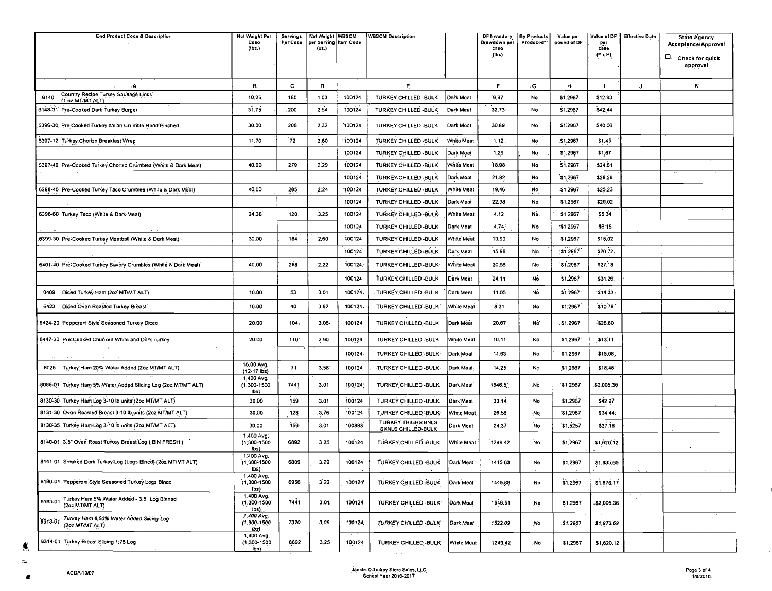| <b>End Product Code &amp; Description</b>                              | Net Weight Per                            | Servings | Net Weight WBSCM               |         | <b>WBSCM Description</b>                     |            | DF Inventory         | <b>By Products</b> | Value per   | Volue of DF | <b>Effective Date</b> | <b>State Agency</b> |
|------------------------------------------------------------------------|-------------------------------------------|----------|--------------------------------|---------|----------------------------------------------|------------|----------------------|--------------------|-------------|-------------|-----------------------|---------------------|
|                                                                        | Case<br>(156.)                            | Per Case | per Serving Item Code<br>(02.) |         |                                              |            | Drawdown per<br>case | Produced*          | pound of DF | per<br>case |                       | Acceptance/Approval |
|                                                                        |                                           |          |                                |         |                                              |            | (10s)                |                    |             | (F x H)     |                       | D. Check for quick  |
|                                                                        |                                           |          |                                |         |                                              |            |                      |                    |             |             |                       | approval            |
| ٠A                                                                     | в                                         | °€       | D                              |         | E                                            |            | F                    | G                  |             |             |                       | К                   |
| Country Recipe Turkey Sausage Links                                    |                                           |          |                                |         |                                              |            |                      |                    | H.          |             | J.                    |                     |
| 6140<br>(1 oz MT/MT ALT)                                               | 10.25                                     | 160      | 1.03                           | 100124  | TURKEY CHILLED - BULK                        | Dark Meat  | 19.97                | No                 | \$1.2967    | \$12.93     |                       |                     |
| 6148-31 Pre-Cooked Dark Turkey Burger,                                 | 31.75                                     | . 200    | 2.54                           | 100124  | TURKEY CHILLED - BULK                        | Dark Meat  | 32.73                | No                 | \$1.2967    | \$42.44     |                       |                     |
| 6396-30 Pre Cooked Turkey Italian Crumble Hand Pinched                 | 30,00                                     | 206      | 2.32                           | 100124  | TURKEY CHILLED - BULK                        | Dark Meat  | 30.89                | No                 | \$1,2967    | \$40.06     |                       |                     |
| 6397-12 Turkey Chorizo Breakfast Wrap                                  | 11.70                                     | 72       | 2.80                           | 100124  | TURKEY CHILLED BULK                          | White Meat | 1, 12.               | No.                | \$1,2967    | \$1.45      |                       |                     |
|                                                                        |                                           |          |                                | 100124  | TURKEY CHILLED - BULK                        | Dark Mont  | 1,29                 | No                 | \$1.2967    | \$1.67      |                       |                     |
| 6397-40 Pre-Cooked Turkey Chonzo Crumbles (White & Dark Meat)          | 40.00                                     | 279      | 2.29                           | 100124  | TURKEY CHILLED BULK                          | White Meat | 18.98                | No                 | \$1,2967    | \$24.61     |                       |                     |
|                                                                        |                                           |          |                                | 100124  | TURKEY CHILLED - BULK                        | Dark Meat  | 21.82                | No                 | 51.2967     | \$28.29     |                       |                     |
| 6398-40 Pre-Cooked Turkey Taco Crumbles (White & Dark Meat)            | 40.00                                     | 285      | 2:24                           | 100124  | TURKEY CHILLED - BULK                        | White Moat | 19,46                | No                 | \$1.2967    | \$25.23     |                       |                     |
|                                                                        |                                           |          |                                | 100124  | TURKEY CHILLED-BULK                          | Dark Meat  | 22.38                | No                 | \$1,2967    | \$29,02     |                       |                     |
| 6398-60 Turkey Taco (White & Dark Meat)                                | 24.36                                     | 120.     | 3,25                           | 100124  | TURKEY CHILLED -BULK-                        | White Meat | 4.12                 | No.                | $-51.2967$  | \$5.34      |                       |                     |
|                                                                        |                                           |          |                                |         |                                              |            |                      |                    |             |             |                       |                     |
|                                                                        |                                           |          |                                | 100124  | TURKEY-CHILLED-BULK                          | Dark Meat  | 4,74                 | No                 | \$1.2967    | 36:15       |                       |                     |
| 6399-30 Pre-Cooked Turkey Moatball (White & Dark Meat).                | 30,00                                     | 184      | 2.60                           | 100124  | TURKEY CHILLED BULK                          | White Meat | 13,90                | No                 | \$1,2967    | 518.02      |                       |                     |
|                                                                        |                                           |          |                                | 100124  | TURKEY CHILLED-BULK.                         | Dark Meat  | 15.98                | No                 | :\$1.2967   | \$20.72,    |                       |                     |
| 6401-40 Pre-Cooked Turkey Savory Crumbles (White & Dark Meat)          | 40.00                                     | 288      | 2.22                           | 100124  | TURKEY CHILLED - BULK-                       | White Meat | 20.96                | No                 | \$1,2967    | \$27.18     |                       |                     |
|                                                                        |                                           |          |                                | 100124  | TURKEY CHILLED -BULK                         | Dark Meat  | 24.11                | No                 | \$1,2967    | \$31.26     |                       |                     |
| Diced Turkey Ham (2oz MT/MT ALT)<br>6409                               | 10.00                                     | .53      | 3.01                           | 100124  | TURKEY, CHILLED. BULK.                       | Dark Meat  | 11.05                | No                 | \$1.2967    | 314.33.     |                       |                     |
| Diced Oven Roasted Turkey Breast<br>6423                               | 10.00                                     | 40       | 3.92                           | 100124  | TURKEY CHILLED - BULK                        | White Meat | 8.31                 | No                 | \$1,2967    | \$10.78     |                       |                     |
| 6424-20 Pepperoni Style Seasoned Turkey Diced                          | 20,00                                     | 104.     | $3.06 -$                       | 100124  | TURKEY CHILLED -BULK                         | Dark Meat  | 20,67                | .No                | .51.2967    | \$26.80     |                       |                     |
| 6447-20 Pre-Cooked Chunked White and Dark Turkey                       | 20,00                                     | $110 -$  | 2,90                           | 100124  | TURKEY CHILLED -BULK                         | White Meat | 10,11                | No                 | \$1,2967    | \$13.11     |                       |                     |
|                                                                        |                                           |          |                                | 100124  | TURKEY CHILLED BULK                          | Dark Meat  | 11.63                | No                 | \$1.2967    | \$15.08     |                       |                     |
| 8026 Turkey Ham 20% Water Added (2oz MT/MT ALT)                        | 16.00 Avg.<br>(12-17 ibs)                 | 71       | 3:58                           | 100124  | TURKEY CHILLED-BULK                          | Dark Meat  | 14.25                | No                 | \$1.2967    | \$18.48     |                       |                     |
| 8088-01 Turkey Ham 5% Water Added Sticing Log (2oz MT/MT ALT)          | 1,400 Avg.<br>$(1,300 - 1500)$<br>lbs)    | 7441     | 3.01                           | 100124; | TURKEY CHILLED BULK                          | Dark Meat  | 1546.51              | No.                | 151.2967    | \$2,005.36  |                       |                     |
| 8130-30 Turkey Ham Log 3-10 lb units (2oz MT/MT ALT)                   | 30,00                                     | 159      | 3.01                           | 100124  | TURKEY CHILLED - BULK                        | Dark Meat  | 33, 14.              | No                 | \$1,2967    | \$42.97     |                       |                     |
| 8131-30 Oven Roasted Breast 3-10 lb units (2oz MT/MT ALT)              | 30.00                                     | 128      | 3.76                           | 100124  | TURKEY CHILLED - BULK                        | White Meat | 26,56                | -No                | \$1,2967    | \$34,44:    |                       |                     |
| 8130-35 Turkey Ham Log 3-10 lb units (2oz MT/MT ALT)                   | 30.00                                     | 159      | 3.01                           | 100883  | <b>TURKEY THIGHS BNLS</b>                    | Dark Meat  | 24.37                | No                 | \$1,5257    | 537.18      |                       |                     |
| 8140-01 3.5" Oven Roast Turkey Breast Log (BIN FRESH)                  | 1,400 Avg.<br>$(1,300-1500)$              | 6892     | 3.25                           | 100124  | SKNLS CHILLED-BULK<br>TURKEY, CHILLED - BULK | White Meat | 1249.42              | No                 | \$1,2967    | .\$1,620.12 |                       |                     |
| 8141-01 Smoked Derk Turkey Log (Logs Bined) (2oz MT/MT ALT)            | lbs)<br>1,400 Avg.<br>(1,300-1500         | 6809     | 3.29                           | 100124  | TURKEY CHILLED - BULK                        | Dark Meat  | 1415.63              | No                 | \$1,2967    | \$1,835.65  |                       |                     |
| 8180-01 Pepperoni Style Seasoned Turkey Logs Binod                     | $\{bs\}$<br>1,400 Avg.<br>$(1,300 - 1500$ | 6956     | $3.22 -$                       | 100124  | TURKEY CHILLED -BULK.                        | Dark Meat  | 1446.88              | No                 | \$1.2967    | \$1,876.17  |                       |                     |
| 8183-01 Turkey Ham 5% Water Added - 3.5" Log Binned<br>(2oz MT/MT ALT) | lbs)<br>1,400 Avg.<br>(1,300.1500)        | 7441     | 3.01                           | 100124  | TURKEY CHILLED-BULK:                         | Dark Meat  | 1546.51              | .No                | \$1.2967    | \$2,005.36  | $\sim$                |                     |
| 8313-01 Turkey Ham 6.50% Water Added Slicing Log<br>(201 MT/MT ALT)    | ibs)<br>1,400 Avg.<br>$(1, 300 - 1500$    | 7320     | 3,06                           | 100124  | TURKEY CHILLED - BULK                        | Dark Meat  | 1522.09              | No                 | \$1,2967    | \$1,973.69  |                       |                     |
| 8314-01 Turkey Breast Slicing 1:75 Log                                 | (bs)<br>1,400 Avg.<br>$(1,300 - 1500$     | 6692     | 3.25                           | 100124  | TURKEY CHILLED - BULK                        | White Meat | 1249.42              | No                 | \$1,2967    | \$1,620.12  |                       |                     |
|                                                                        | ibs)                                      |          |                                |         |                                              |            |                      |                    |             |             |                       |                     |

 $\bullet$  $\epsilon$ 

 $\bullet$